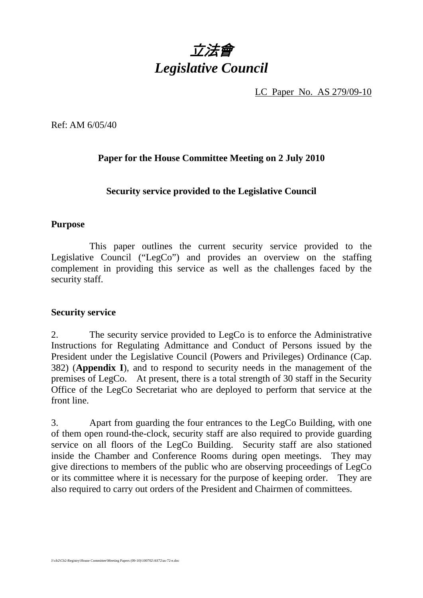

LC Paper No. AS 279/09-10

Ref: AM 6/05/40

## **Paper for the House Committee Meeting on 2 July 2010**

## **Security service provided to the Legislative Council**

## **Purpose**

 This paper outlines the current security service provided to the Legislative Council ("LegCo") and provides an overview on the staffing complement in providing this service as well as the challenges faced by the security staff.

## **Security service**

2. The security service provided to LegCo is to enforce the Administrative Instructions for Regulating Admittance and Conduct of Persons issued by the President under the Legislative Council (Powers and Privileges) Ordinance (Cap. 382) (**Appendix I**), and to respond to security needs in the management of the premises of LegCo. At present, there is a total strength of 30 staff in the Security Office of the LegCo Secretariat who are deployed to perform that service at the front line.

3. Apart from guarding the four entrances to the LegCo Building, with one of them open round-the-clock, security staff are also required to provide guarding service on all floors of the LegCo Building. Security staff are also stationed inside the Chamber and Conference Rooms during open meetings. They may give directions to members of the public who are observing proceedings of LegCo or its committee where it is necessary for the purpose of keeping order. They are also required to carry out orders of the President and Chairmen of committees.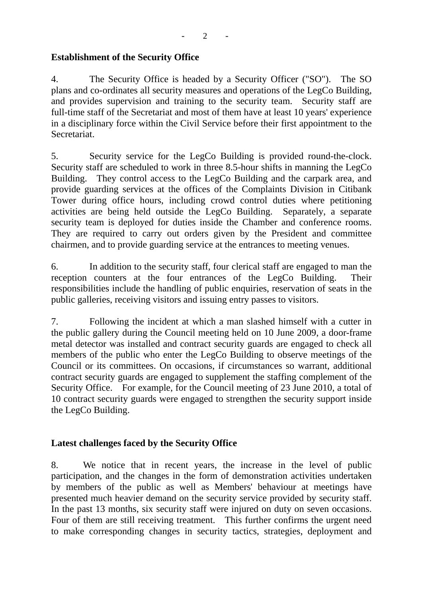$- 2 - -$ 

## **Establishment of the Security Office**

4. The Security Office is headed by a Security Officer ("SO"). The SO plans and co-ordinates all security measures and operations of the LegCo Building, and provides supervision and training to the security team. Security staff are full-time staff of the Secretariat and most of them have at least 10 years' experience in a disciplinary force within the Civil Service before their first appointment to the Secretariat.

5. Security service for the LegCo Building is provided round-the-clock. Security staff are scheduled to work in three 8.5-hour shifts in manning the LegCo Building. They control access to the LegCo Building and the carpark area, and provide guarding services at the offices of the Complaints Division in Citibank Tower during office hours, including crowd control duties where petitioning activities are being held outside the LegCo Building. Separately, a separate security team is deployed for duties inside the Chamber and conference rooms. They are required to carry out orders given by the President and committee chairmen, and to provide guarding service at the entrances to meeting venues.

6. In addition to the security staff, four clerical staff are engaged to man the reception counters at the four entrances of the LegCo Building. Their responsibilities include the handling of public enquiries, reservation of seats in the public galleries, receiving visitors and issuing entry passes to visitors.

7. Following the incident at which a man slashed himself with a cutter in the public gallery during the Council meeting held on 10 June 2009, a door-frame metal detector was installed and contract security guards are engaged to check all members of the public who enter the LegCo Building to observe meetings of the Council or its committees. On occasions, if circumstances so warrant, additional contract security guards are engaged to supplement the staffing complement of the Security Office. For example, for the Council meeting of 23 June 2010, a total of 10 contract security guards were engaged to strengthen the security support inside the LegCo Building.

## **Latest challenges faced by the Security Office**

8. We notice that in recent years, the increase in the level of public participation, and the changes in the form of demonstration activities undertaken by members of the public as well as Members' behaviour at meetings have presented much heavier demand on the security service provided by security staff. In the past 13 months, six security staff were injured on duty on seven occasions. Four of them are still receiving treatment. This further confirms the urgent need to make corresponding changes in security tactics, strategies, deployment and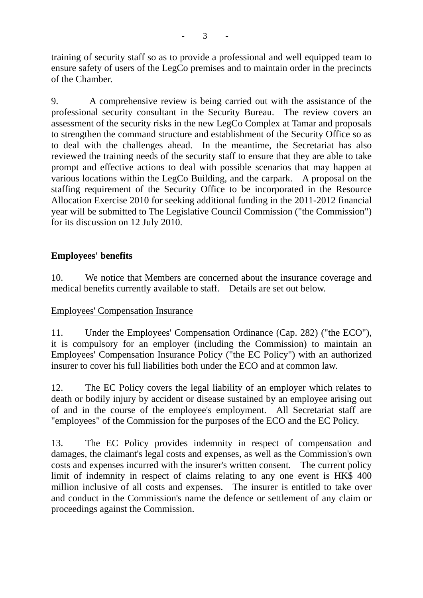training of security staff so as to provide a professional and well equipped team to ensure safety of users of the LegCo premises and to maintain order in the precincts of the Chamber.

9. A comprehensive review is being carried out with the assistance of the professional security consultant in the Security Bureau. The review covers an assessment of the security risks in the new LegCo Complex at Tamar and proposals to strengthen the command structure and establishment of the Security Office so as to deal with the challenges ahead. In the meantime, the Secretariat has also reviewed the training needs of the security staff to ensure that they are able to take prompt and effective actions to deal with possible scenarios that may happen at various locations within the LegCo Building, and the carpark. A proposal on the staffing requirement of the Security Office to be incorporated in the Resource Allocation Exercise 2010 for seeking additional funding in the 2011-2012 financial year will be submitted to The Legislative Council Commission ("the Commission") for its discussion on 12 July 2010.

# **Employees' benefits**

10. We notice that Members are concerned about the insurance coverage and medical benefits currently available to staff. Details are set out below.

## Employees' Compensation Insurance

11. Under the Employees' Compensation Ordinance (Cap. 282) ("the ECO"), it is compulsory for an employer (including the Commission) to maintain an Employees' Compensation Insurance Policy ("the EC Policy") with an authorized insurer to cover his full liabilities both under the ECO and at common law.

12. The EC Policy covers the legal liability of an employer which relates to death or bodily injury by accident or disease sustained by an employee arising out of and in the course of the employee's employment. All Secretariat staff are "employees" of the Commission for the purposes of the ECO and the EC Policy.

13. The EC Policy provides indemnity in respect of compensation and damages, the claimant's legal costs and expenses, as well as the Commission's own costs and expenses incurred with the insurer's written consent. The current policy limit of indemnity in respect of claims relating to any one event is HK\$ 400 million inclusive of all costs and expenses. The insurer is entitled to take over and conduct in the Commission's name the defence or settlement of any claim or proceedings against the Commission.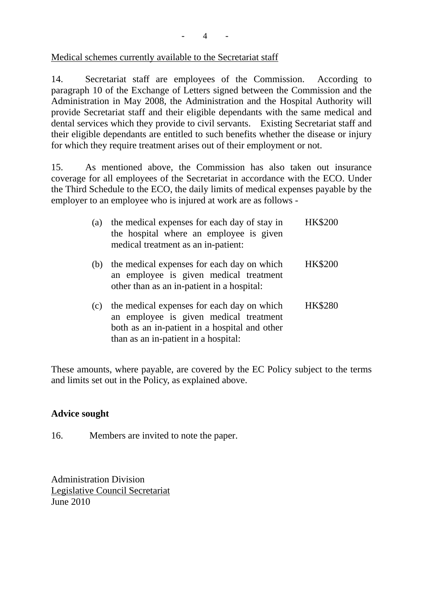Medical schemes currently available to the Secretariat staff

14. Secretariat staff are employees of the Commission. According to paragraph 10 of the Exchange of Letters signed between the Commission and the Administration in May 2008, the Administration and the Hospital Authority will provide Secretariat staff and their eligible dependants with the same medical and dental services which they provide to civil servants. Existing Secretariat staff and their eligible dependants are entitled to such benefits whether the disease or injury for which they require treatment arises out of their employment or not.

15. As mentioned above, the Commission has also taken out insurance coverage for all employees of the Secretariat in accordance with the ECO. Under the Third Schedule to the ECO, the daily limits of medical expenses payable by the employer to an employee who is injured at work are as follows -

| (a) | the medical expenses for each day of stay in<br>the hospital where an employee is given<br>medical treatment as an in-patient:                                                | <b>HK\$200</b> |
|-----|-------------------------------------------------------------------------------------------------------------------------------------------------------------------------------|----------------|
| (b) | the medical expenses for each day on which<br>an employee is given medical treatment<br>other than as an in-patient in a hospital:                                            | <b>HK\$200</b> |
| (c) | the medical expenses for each day on which<br>an employee is given medical treatment<br>both as an in-patient in a hospital and other<br>than as an in-patient in a hospital: | <b>HK\$280</b> |

These amounts, where payable, are covered by the EC Policy subject to the terms and limits set out in the Policy, as explained above.

## **Advice sought**

16. Members are invited to note the paper.

Administration Division Legislative Council Secretariat June 2010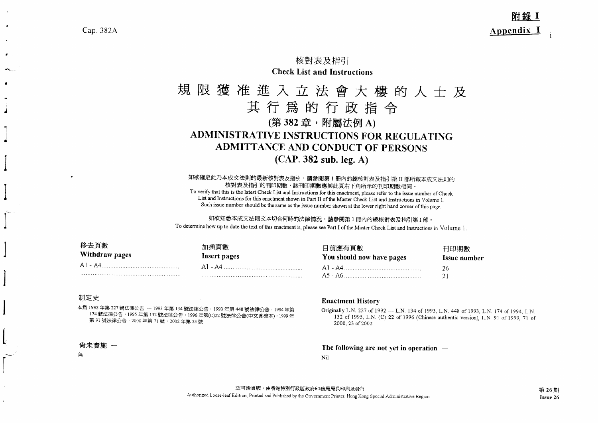## 核對表及指引 **Check List and Instructions**

# 規限獲准進入立法會大樓的人士及 其行爲的行政指令 (第382章,附屬法例A) **ADMINISTRATIVE INSTRUCTIONS FOR REGULATING ADMITTANCE AND CONDUCT OF PERSONS**  $(CAP. 382 sub. leg. A)$

如欲確定此乃本成文法則的最新核對表及指引,請參閱第1冊內的總核對表及指引第II部所載本成文法則的 核對表及指引的刊印期數,該刊印期數應與此頁右下角所示的刊印期數相同 To verify that this is the latest Check List and Instructions for this enactment, please refer to the issue number of Check List and Instructions for this enactment shown in Part II of the Master Check List and Instructions in Volume 1. Such issue number should be the same as the issue number shown at the lower right hand corner of this page.

如欲知悉本成文法則文本切合何時的法律情況,請參閱第1冊內的總核對表及指引第1部。 To determine how up to date the text of this enactment is, please see Part I of the Master Check List and Instructions in Volume 1.

| 移去頁數<br>Withdraw pages | 加插頁數<br>Insert pages | 目前應有頁數<br>You should now have pages | 刊印期數<br>Issue number |
|------------------------|----------------------|-------------------------------------|----------------------|
|                        |                      | $A1 - A4$                           | 26                   |
|                        |                      | A5 - A6                             |                      |

#### 制定史

Cap. 382A

本爲 1992 年第 227 號法律公告 -- 1993 年第 134 號法律公告, 1993 年第 448 號法律公告, 1994 年第 174 號法律公告,1995 年第 132 號法律公告,1996 年第(C)22 號法律公告(中文真確本),1999 年 第 91號法律公告, 2000年第 71號, 2002年第 23號

#### 尙未實施 一

鈕

#### **Enactment History**

Originally L.N. 227 of 1992 - L.N. 134 of 1993, L.N. 448 of 1993, L.N. 174 of 1994, L.N. 132 of 1995, L.N. (C) 22 of 1996 (Chinese authentic version), L.N. 91 of 1999, 71 of 2000, 23 of 2002

The following are not yet in operation  $-$ 

Nil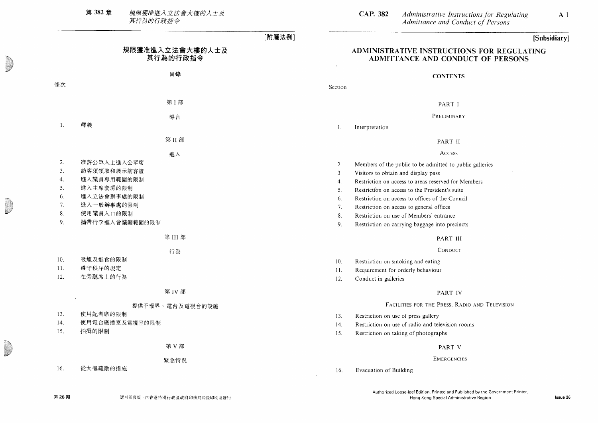規限獲准進入立法會大樓的人士及<br>其行為的行政指令 第 382章

|     |                             | [附屬法例]                                                         |
|-----|-----------------------------|----------------------------------------------------------------|
|     | 規限獲准進入立法會大樓的人士及<br>其行為的行政指令 | ADMINISTRATIVE INSTRUCTIONS I<br><b>ADMITTANCE AND CONDUCT</b> |
|     | 目錄                          | <b>CONTENTS</b>                                                |
| 條次  |                             | Section                                                        |
|     | 第1部                         | PART I                                                         |
|     | 導言                          | PRELIMINARY                                                    |
| 1.  | 釋義                          | Interpretation<br>1.                                           |
|     | 第II部                        | PART II                                                        |
|     | 進入                          | <b>ACCESS</b>                                                  |
| 2.  | 准許公眾人士進入公眾席                 | Members of the public to be admitted to public gall<br>2.      |
| 3.  | 訪客須領取和展示訪客證                 | 3.<br>Visitors to obtain and display pass                      |
| 4.  | 進入議員專用範圍的限制                 | Restriction on access to areas reserved for Members<br>4.      |
| 5.  | 進入主席套房的限制                   | 5.<br>Restriction on access to the President's suite           |
| 6.  | 進入立法會辦事處的限制                 | 6.<br>Restriction on access to offices of the Council          |
| 7.  | 進入一般辦事處的限制                  | 7.<br>Restriction on access to general offices                 |
| 8.  | 使用議員入口的限制                   | 8.<br>Restriction on use of Members' entrance                  |
| 9.  | 攜帶行李進入會議廳範圍的限制              | 9.<br>Restriction on carrying baggage into precincts           |
|     | 第 III 部                     | PART III                                                       |
|     | 行為                          | CONDUCT                                                        |
| 10. | 吸煙及進食的限制                    | 10.<br>Restriction on smoking and eating                       |
| 11. | 遵守秩序的規定                     | Requirement for orderly behaviour<br>11.                       |
| 12. | 在旁聽席上的行為                    | Conduct in galleries<br>12.                                    |
|     | 第 IV 部                      | PART IV                                                        |
|     | 提供予報界、電台及電視台的設施             | FACILITIES FOR THE PRESS, RADIO ANI                            |
| 13. | 使用記者席的限制                    | Restriction on use of press gallery<br>13.                     |
| 14. | 使用電台廣播室及電視室的限制              | Restriction on use of radio and television rooms<br>14.        |
| 15. | 拍攝的限制                       | Restriction on taking of photographs<br>15.                    |
|     | 第 V 部                       | PART V                                                         |
|     | 緊急情況                        | <b>EMERGENCIES</b>                                             |
| 16. | 從大樓疏散的措施                    | Evacuation of Building<br>16.                                  |
|     |                             |                                                                |

Administrative Instructions for Regulating<br>Admittance and Conduct of Persons **CAP. 382**  $A<sub>1</sub>$ 

## [Subsidiary]

### **FOR REGULATING** OF PERSONS

- leries
- $\mathbf{S}$

#### **D** Television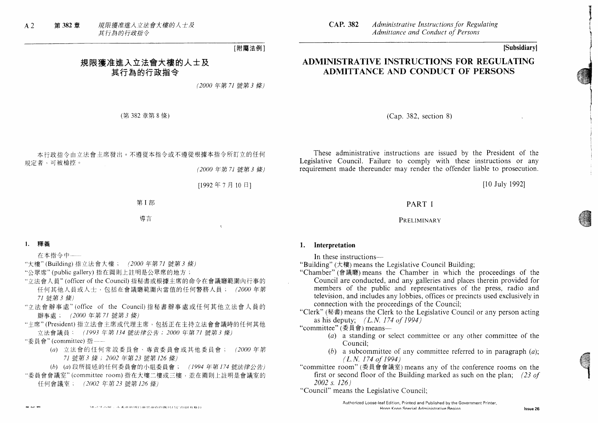規限獲准進入立法會大樓的人士及  $A<sub>2</sub>$ 第 382 音 其行為的行政指令

**CAP. 382** Administrative Instructions for Regulating Admittance and Conduct of Persons

### [Subsidiary]

## ADMINISTRATIVE INSTRUCTIONS FOR REGULATING ADMITTANCE AND CONDUCT OF PERSONS

 $(Cap. 382. section 8)$ 

These administrative instructions are issued by the President of the Legislative Council. Failure to comply with these instructions or any requirement made thereunder may render the offender liable to prosecution.

[10 July 1992]

Issue 26

#### PART I

#### PRELIMINARY

#### 1. Interpretation

In these instructions—

"Building" (大樓) means the Legislative Council Building;

"Chamber" (會議廳) means the Chamber in which the proceedings of the Council are conducted, and any galleries and places therein provided for members of the public and representatives of the press, radio and television, and includes any lobbies, offices or precincts used exclusively in connection with the proceedings of the Council:

"Clerk" (秘書) means the Clerk to the Legislative Council or any person acting as his deputy:  $(L.N. 174 of 1994)$ 

- "committee" ( $\overline{\Phi}$   $\oplus$   $\cong$  means-
	- (a) a standing or select committee or any other committee of the Council:
	- (b) a subcommittee of any committee referred to in paragraph  $(a)$ ;  $(L.N. 174 of 1994)$

"committee room" (委員會會議室) means any of the conference rooms on the first or second floor of the Building marked as such on the plan: (23 of  $2002 s. 126$ 

"Council" means the Legislative Council;

本行政指令由立法會主席發出。不遵從本指令或不遵從根據本指令所訂立的任何 規定者,可被檢控。

規限獲准進入立法會大樓的人士及

其行為的行政指今

(第382章第8條)

(2000年第71號第3條)

(2000年第71號第3條)

[附屬法例]

[1992年7月10日]

第I部

導言

#### 1. 釋義

在本指今中 --

"大樓"(Building)指立法會大樓; (2000年第71號第3條)

- "公眾席"(public gallery) 指在圖則上註明是公眾席的地方;
- "立法會人員" (officer of the Council) 指秘書或根據主席的命令在會議廳範圍內行事的 任何其他人員或人士,包括在會議廳範圍內當值的任何警務人員; (2000年第 71 號第3條)
- "立法會辦事處"(office of the Council)指秘書辦事處或任何其他立法會人員的 辦事處; (2000年第71號第3條)
- "主席"(President)指立法會主席或代理主席,包括正在主持立法會會議時的任何其他 立法會議員: (1993年第134號法律公告; 2000年第71號第3條)
- "委員會"(committee)指 --
	- (a) 立法會的任何常設委員會、專責委員會或其他委員會; (2000年第 71 號第3 條; 2002 年第23 號第126 條)
	- (b) (a) 段所提述的任何委員會的小組委員會; (1994年第174號法律公告)
- "委員會會議室"(committee room)指在大樓二樓或三樓,並在圖則上註明是會議室的 仟何會議室; (2002年第23號第126條)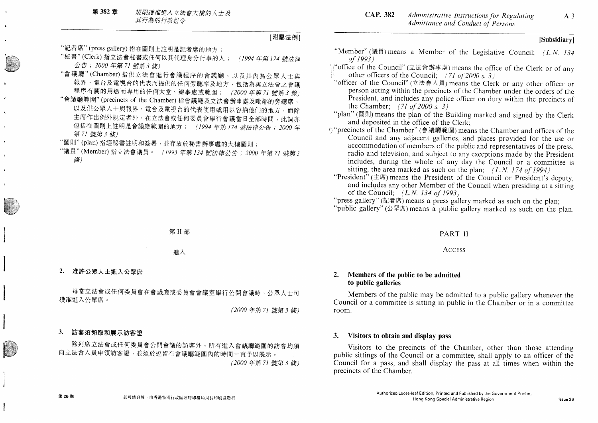### [Subsidiary]

 $A<sub>3</sub>$ 

### [附屬法例]

- "記者席"(press gallery) 指在圖則上註明是記者席的地方;
- "秘書"(Clerk) 指立法會秘書或任何以其代理身分行事的人; (1994年第174號法律 公告; 2000年第71號第3條)
- "會議廳"(Chamber)指供立法會進行會議程序的會議廳,以及其內為公眾人士與 報界、電台及電視台的代表而提供的任何旁聽席及地方,包括為與立法會之會議 程序有關的用途而專用的任何大堂、辦事處或範圍; (2000年第71號第3條)
- "會議廳範圍"(precincts of the Chamber)指會議廳及立法會辦事處及毗鄰的旁聽席, 以及供公眾人士與報界、電台及電視台的代表使用或用以容納他們的地方,而除 主席作出例外規定者外,在立法會或任何委員會舉行會議當日全部時間,此詞亦 包括在圖則上註明是會議廳範圍的地方; (1994年第174號法律公告; 2000年 第71 號第3條)
- "圖則"(plan) 指經秘書註明和簽署, 並存放於秘書辦事處的大樓圖則;
- "議員"(Member)指立法會議員。 (1993年第134號法律公告; 2000年第71號第3 條)

第II部

- 推入
- $2.$ 准許公眾人士進入公眾席

每當立法會或任何委員會在會議廳或委員會會議室舉行公開會議時,公眾人士可 獲准進入公眾席。

(2000年第71號第3條)

#### 3. 訪客須領取和展示訪客證

第26期

除列席立法會或任何委員會公開會議的訪客外,所有進入會議廳範圍的訪客均須 向立法會人員申領訪客證,並須於逗留在會議廳範圍內的時間一直予以展示。 (2000年第71號第3條)

- "Member" (議員) means a Member of the Legislative Council:  $(L.N. 134)$ of 1993)
- \\"office of the Council" (立法會辦事處) means the office of the Clerk or of any other officers of the Council; (71 of 2000 s. 3)
- "officer of the Council" (立法會人員) means the Clerk or any other officer or person acting within the precincts of the Chamber under the orders of the President, and includes any police officer on duty within the precincts of the Chamber; (71 of 2000 s. 3)
- "plan" (圖則) means the plan of the Building marked and signed by the Clerk and deposited in the office of the Clerk:
- O "precincts of the Chamber" (會議廳範圍) means the Chamber and offices of the Council and any adjacent galleries, and places provided for the use or accommodation of members of the public and representatives of the press, radio and television, and subject to any exceptions made by the President includes, during the whole of any day the Council or a committee is sitting, the area marked as such on the plan;  $(L.N. 174 of 1994)$
- "President" (主席) means the President of the Council or President's deputy, and includes any other Member of the Council when presiding at a sitting of the Council:  $(L.N. 134 of 1993)$
- "press gallery" (記者席) means a press gallery marked as such on the plan; "public gallery" ( $\triangle \mathbb{R}$   $\ddot{\mathbb{R}}$ ) means a public gallery marked as such on the plan.

#### PART II

#### **ACCESS**

#### Members of the public to be admitted  $2.$ to public galleries

Members of the public may be admitted to a public gallery whenever the Council or a committee is sitting in public in the Chamber or in a committee room.

#### 3. Visitors to obtain and display pass

Visitors to the precincts of the Chamber, other than those attending public sittings of the Council or a committee, shall apply to an officer of the Council for a pass, and shall display the pass at all times when within the precincts of the Chamber.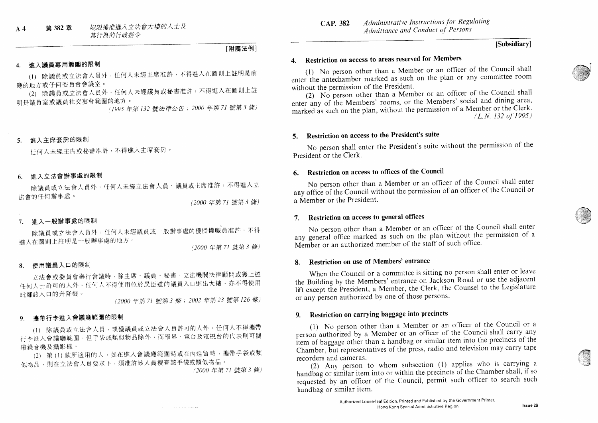#### [Subsidiary]

## 4. Restriction on access to areas reserved for Members

(1) No person other than a Member or an officer of the Council shall enter the antechamber marked as such on the plan or any committee room without the permission of the President.

(2) No person other than a Member or an officer of the Council shall enter any of the Members' rooms, or the Members' social and dining area, marked as such on the plan, without the permission of a Member or the Clerk.  $(L.N. 132 of 1995)$ 

### 5. Restriction on access to the President's suite

No person shall enter the President's suite without the permission of the President or the Clerk.

### 6. Restriction on access to offices of the Council

No person other than a Member or an officer of the Council shall enter any office of the Council without the permission of an officer of the Council or a Member or the President.

### 7. Restriction on access to general offices

No person other than a Member or an officer of the Council shall enter any general office marked as such on the plan without the permission of a Member or an authorized member of the staff of such office.

#### 8. Restriction on use of Members' entrance

When the Council or a committee is sitting no person shall enter or leave the Building by the Members' entrance on Jackson Road or use the adjacent lift except the President, a Member, the Clerk, the Counsel to the Legislature or any person authorized by one of those persons.

## 9. Restriction on carrying baggage into precincts

(1) No person other than a Member or an officer of the Council or a person authorized by a Member or an officer of the Council shall carry any item of baggage other than a handbag or similar item into the precincts of the Chamber, but representatives of the press, radio and television may carry tape recorders and cameras.

(2) Any person to whom subsection (1) applies who is carrying a handbag or similar item into or within the precincts of the Chamber shall, if so requested by an officer of the Council, permit such officer to search such handbag or similar item.

進入主席套房的限制  $5<sub>1</sub>$ 

谁入議員專用範圍的限制

廳的地方或任何委員會會議室。

明是議員室或議員社交宴會範圍的地方。

任何人未經主席或秘書准許,不得進入主席套房。

#### 谁入立法會辦事處的限制 6.

除議員或立法會人員外,任何人未經立法會人員、議員或主席准許,不得進入立 法會的任何辦事處。

(1) 除議員或立法會人員外,任何人未經主席准許,不得進入在圖則上註明是前

(2) 除議員或立法會人員外,任何人未經議員或秘書准許,不得進入在圖則上註

(2000年第71號第3條)

[附屬法例]

#### 谁入一般辦事處的限制  $7<sub>1</sub>$

除議員或立法會人員外,任何人未經議員或一般辦事處的獲授權職員准許,不得 進入在圖則上註明是一般辦事處的地方。

(2000年第71號第3條)

#### 使用議員入口的限制  $\mathbf{R}$

立法會或委員會舉行會議時,除主席、議員、秘書、立法機關法律顧問或獲上述 任何人士許可的人外,任何人不得使用位於昃臣道的議員入口進出大樓,亦不得使用 毗鄰該入口的升降機。

(2000年第71號第3條; 2002年第23號第126條)

فمستدعاء والمحادث والمناد

(1995年第132 號法律公告; 2000 年第71 號第3 條)

#### 攜帶行李進入會議廳範圍的限制 9.

(1) 除議員或立法會人員,或獲議員或立法會人員許可的人外,任何人不得攜帶 行李進入會議廳範圍,但手袋或類似物品除外,而報界、電台及電視台的代表則可攜 帶錄音機及攝影機。

(2) 第(1)款所適用的人,如在進入會議廳範圍時或在內逗留時,攜帶手袋或類 似物品,則在立法會人員要求下,須准許該人員搜查該手袋或類似物品。

(2000年第71號第3條)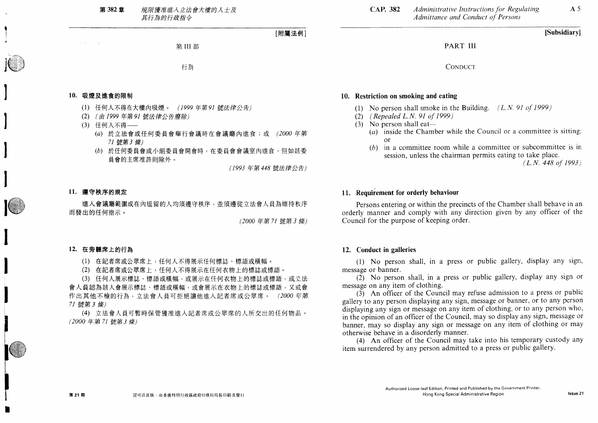#### 第 382 章 規限獲准進入立法會大樓的人十及 其行為的行政指令

[附屬法例]

第III部

行為

#### 10. 吸煙及進食的限制

(第1回)

- (1) 任何人不得在大樓內吸煙。 (1999年第91號法律公告)
- (2) (由1999年第91號法律公告廢除)
- (3) 任何人不得 ---
	- (a) 於立法會或任何委員會舉行會議時在會議廳內進食;或 (2000年第 71 號第3 條)
	- (b) 於任何委員會或小組委員會開會時,在委員會會議室內進食,但如該委 員會的主席准許則除外。

(1993年第448號法律公告)

#### 11. 遵守秩序的規定

進入會議廳範圍或在內逗留的人均須導守秩序,並須遵從立法會人員為維持秩序 而發出的任何指示。

(2000年第71號第3條)

#### 12. 在旁聽席上的行為

- (1) 在記者席或公眾席上,任何人不得展示任何標誌、標語或橫幅。
- (2) 在記者席或公眾席上,任何人不得展示在任何衣物上的標誌或標語。

(3) 任何人展示標誌、標語或構幅,或展示在任何衣物上的標誌或標語,或立法 會人員認為該人會展示標誌、標語或橫幅,或會展示在衣物上的標誌或標語,又或會 作出其他不檢的行為,立法會人員可拒絕讓他進入記者席或公眾席。 (2000年第 71 號第3條)

(4) 立法會人員可暫時保管獲准進入記者席或公眾席的人所交出的任何物品。 (2000年第71號第3條)

#### [Subsidiary]

 $A<sub>5</sub>$ 

PART III

CONDUCT

#### 10. Restriction on smoking and eating

- (1) No person shall smoke in the Building.  $(L.N. 91 of 1999)$
- $(2)$  (Repealed L.N. 91 of 1999)
- $(3)$  No person shall eat-
	- (a) inside the Chamber while the Council or a committee is sitting.  $\alpha$ r
	- $(b)$  in a committee room while a committee or subcommittee is in session, unless the chairman permits eating to take place.

 $(L, N, 448 \text{ of } 1993)$ 

#### 11. Requirement for orderly behaviour

Persons entering or within the precincts of the Chamber shall behave in an orderly manner and comply with any direction given by any officer of the Council for the purpose of keeping order.

#### 12. Conduct in galleries

(1) No person shall, in a press or public gallery, display any sign, message or banner.

(2) No person shall, in a press or public gallery, display any sign or message on any item of clothing.

 $(3)$  An officer of the Council may refuse admission to a press or public gallery to any person displaying any sign, message or banner, or to any person displaying any sign or message on any item of clothing, or to any person who, in the opinion of an officer of the Council, may so display any sign, message or banner, may so display any sign or message on any item of clothing or may otherwise behave in a disorderly manner.

(4) An officer of the Council may take into his temporary custody any item surrendered by any person admitted to a press or public gallery.

第21期

Issue 21